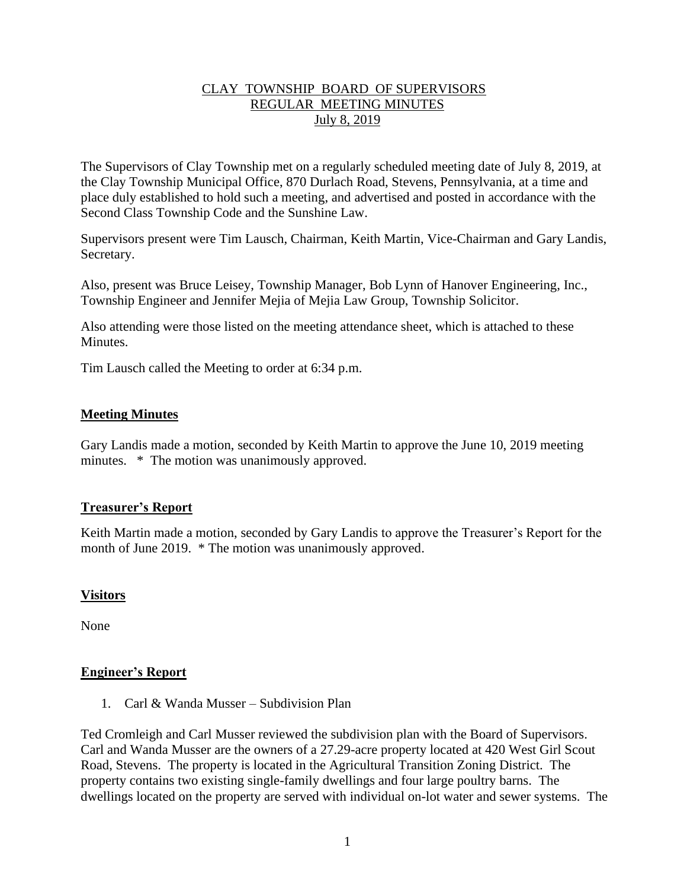# CLAY TOWNSHIP BOARD OF SUPERVISORS REGULAR MEETING MINUTES July 8, 2019

The Supervisors of Clay Township met on a regularly scheduled meeting date of July 8, 2019, at the Clay Township Municipal Office, 870 Durlach Road, Stevens, Pennsylvania, at a time and place duly established to hold such a meeting, and advertised and posted in accordance with the Second Class Township Code and the Sunshine Law.

Supervisors present were Tim Lausch, Chairman, Keith Martin, Vice-Chairman and Gary Landis, Secretary.

Also, present was Bruce Leisey, Township Manager, Bob Lynn of Hanover Engineering, Inc., Township Engineer and Jennifer Mejia of Mejia Law Group, Township Solicitor.

Also attending were those listed on the meeting attendance sheet, which is attached to these **Minutes** 

Tim Lausch called the Meeting to order at 6:34 p.m.

# **Meeting Minutes**

Gary Landis made a motion, seconded by Keith Martin to approve the June 10, 2019 meeting minutes. \* The motion was unanimously approved.

## **Treasurer's Report**

Keith Martin made a motion, seconded by Gary Landis to approve the Treasurer's Report for the month of June 2019. \* The motion was unanimously approved.

## **Visitors**

None

## **Engineer's Report**

1. Carl & Wanda Musser – Subdivision Plan

Ted Cromleigh and Carl Musser reviewed the subdivision plan with the Board of Supervisors. Carl and Wanda Musser are the owners of a 27.29-acre property located at 420 West Girl Scout Road, Stevens. The property is located in the Agricultural Transition Zoning District. The property contains two existing single-family dwellings and four large poultry barns. The dwellings located on the property are served with individual on-lot water and sewer systems. The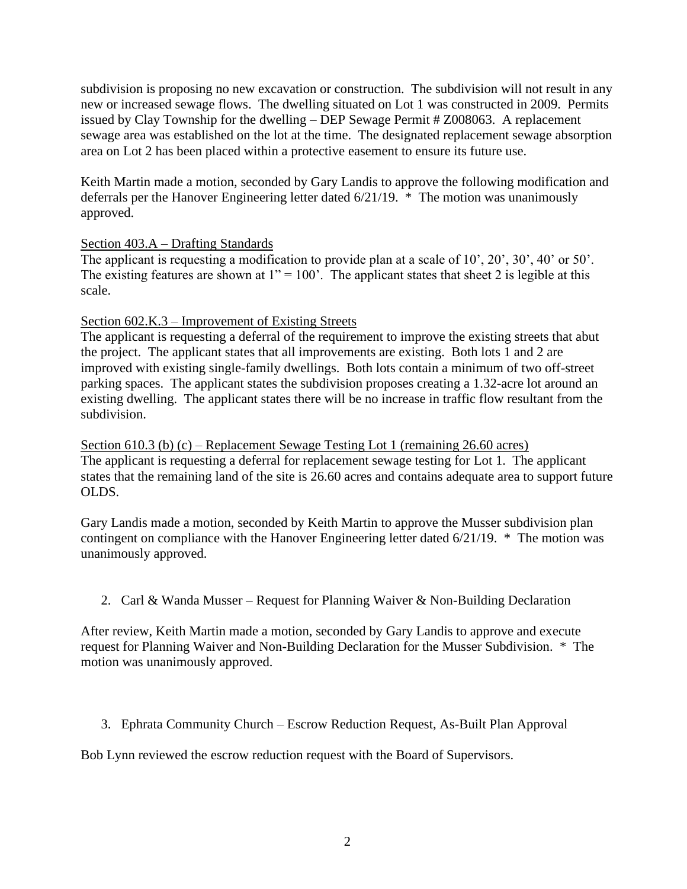subdivision is proposing no new excavation or construction. The subdivision will not result in any new or increased sewage flows. The dwelling situated on Lot 1 was constructed in 2009. Permits issued by Clay Township for the dwelling – DEP Sewage Permit # Z008063. A replacement sewage area was established on the lot at the time. The designated replacement sewage absorption area on Lot 2 has been placed within a protective easement to ensure its future use.

Keith Martin made a motion, seconded by Gary Landis to approve the following modification and deferrals per the Hanover Engineering letter dated 6/21/19. \* The motion was unanimously approved.

# Section 403.A – Drafting Standards

The applicant is requesting a modification to provide plan at a scale of 10', 20', 30', 40' or 50'. The existing features are shown at  $1" = 100'$ . The applicant states that sheet 2 is legible at this scale.

## Section 602.K.3 – Improvement of Existing Streets

The applicant is requesting a deferral of the requirement to improve the existing streets that abut the project. The applicant states that all improvements are existing. Both lots 1 and 2 are improved with existing single-family dwellings. Both lots contain a minimum of two off-street parking spaces. The applicant states the subdivision proposes creating a 1.32-acre lot around an existing dwelling. The applicant states there will be no increase in traffic flow resultant from the subdivision.

Section 610.3 (b) (c) – Replacement Sewage Testing Lot 1 (remaining 26.60 acres) The applicant is requesting a deferral for replacement sewage testing for Lot 1. The applicant states that the remaining land of the site is 26.60 acres and contains adequate area to support future OLDS.

Gary Landis made a motion, seconded by Keith Martin to approve the Musser subdivision plan contingent on compliance with the Hanover Engineering letter dated 6/21/19. \* The motion was unanimously approved.

2. Carl & Wanda Musser – Request for Planning Waiver & Non-Building Declaration

After review, Keith Martin made a motion, seconded by Gary Landis to approve and execute request for Planning Waiver and Non-Building Declaration for the Musser Subdivision. \* The motion was unanimously approved.

3. Ephrata Community Church – Escrow Reduction Request, As-Built Plan Approval

Bob Lynn reviewed the escrow reduction request with the Board of Supervisors.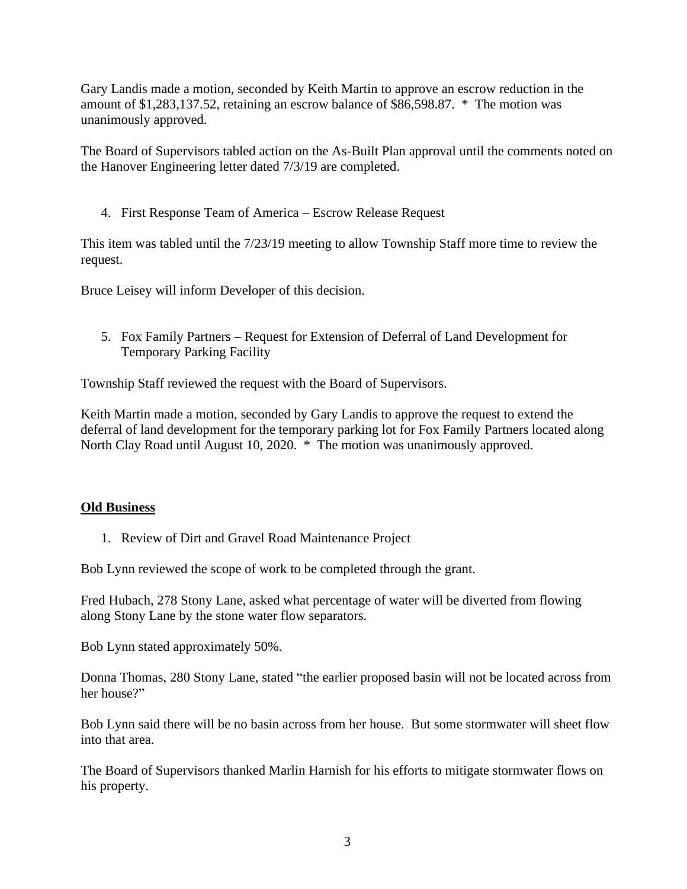Gary Landis made a motion, seconded by Keith Martin to approve an escrow reduction in the amount of \$1,283,137.52, retaining an escrow balance of \$86,598.87. \* The motion was unanimously approved.

The Board of Supervisors tabled action on the As-Built Plan approval until the comments noted on the Hanover Engineering letter dated 7/3/19 are completed.

4. First Response Team of America – Escrow Release Request

This item was tabled until the 7/23/19 meeting to allow Township Staff more time to review the request.

Bruce Leisey will inform Developer of this decision.

5. Fox Family Partners – Request for Extension of Deferral of Land Development for Temporary Parking Facility

Township Staff reviewed the request with the Board of Supervisors.

Keith Martin made a motion, seconded by Gary Landis to approve the request to extend the deferral of land development for the temporary parking lot for Fox Family Partners located along North Clay Road until August 10, 2020. \* The motion was unanimously approved.

## **Old Business**

1. Review of Dirt and Gravel Road Maintenance Project

Bob Lynn reviewed the scope of work to be completed through the grant.

Fred Hubach, 278 Stony Lane, asked what percentage of water will be diverted from flowing along Stony Lane by the stone water flow separators.

Bob Lynn stated approximately 50%.

Donna Thomas, 280 Stony Lane, stated "the earlier proposed basin will not be located across from her house?"

Bob Lynn said there will be no basin across from her house. But some stormwater will sheet flow into that area.

The Board of Supervisors thanked Marlin Harnish for his efforts to mitigate stormwater flows on his property.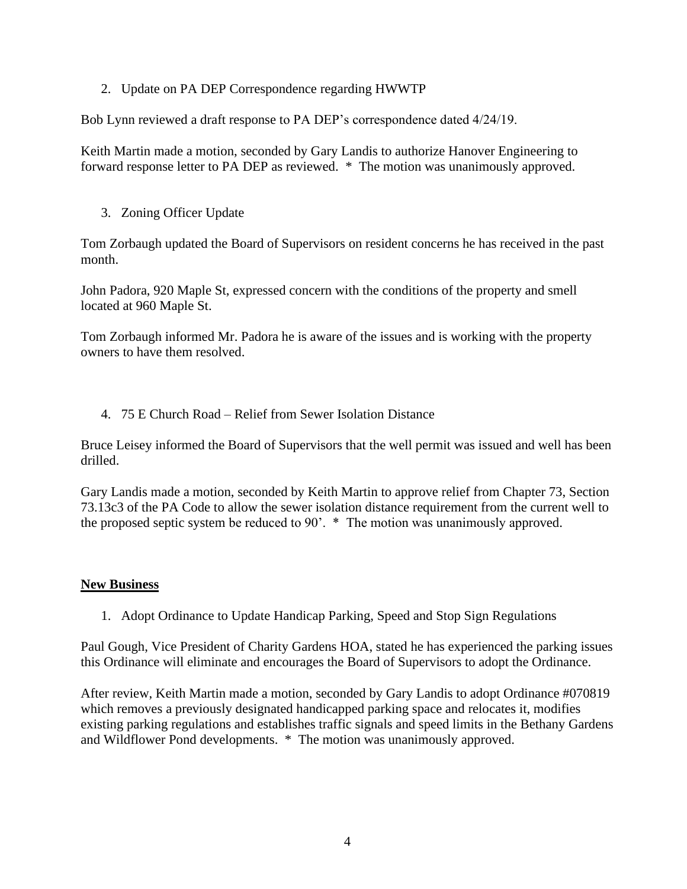2. Update on PA DEP Correspondence regarding HWWTP

Bob Lynn reviewed a draft response to PA DEP's correspondence dated 4/24/19.

Keith Martin made a motion, seconded by Gary Landis to authorize Hanover Engineering to forward response letter to PA DEP as reviewed. \* The motion was unanimously approved.

3. Zoning Officer Update

Tom Zorbaugh updated the Board of Supervisors on resident concerns he has received in the past month.

John Padora, 920 Maple St, expressed concern with the conditions of the property and smell located at 960 Maple St.

Tom Zorbaugh informed Mr. Padora he is aware of the issues and is working with the property owners to have them resolved.

4. 75 E Church Road – Relief from Sewer Isolation Distance

Bruce Leisey informed the Board of Supervisors that the well permit was issued and well has been drilled.

Gary Landis made a motion, seconded by Keith Martin to approve relief from Chapter 73, Section 73.13c3 of the PA Code to allow the sewer isolation distance requirement from the current well to the proposed septic system be reduced to 90'. \* The motion was unanimously approved.

## **New Business**

1. Adopt Ordinance to Update Handicap Parking, Speed and Stop Sign Regulations

Paul Gough, Vice President of Charity Gardens HOA, stated he has experienced the parking issues this Ordinance will eliminate and encourages the Board of Supervisors to adopt the Ordinance.

After review, Keith Martin made a motion, seconded by Gary Landis to adopt Ordinance #070819 which removes a previously designated handicapped parking space and relocates it, modifies existing parking regulations and establishes traffic signals and speed limits in the Bethany Gardens and Wildflower Pond developments. \* The motion was unanimously approved.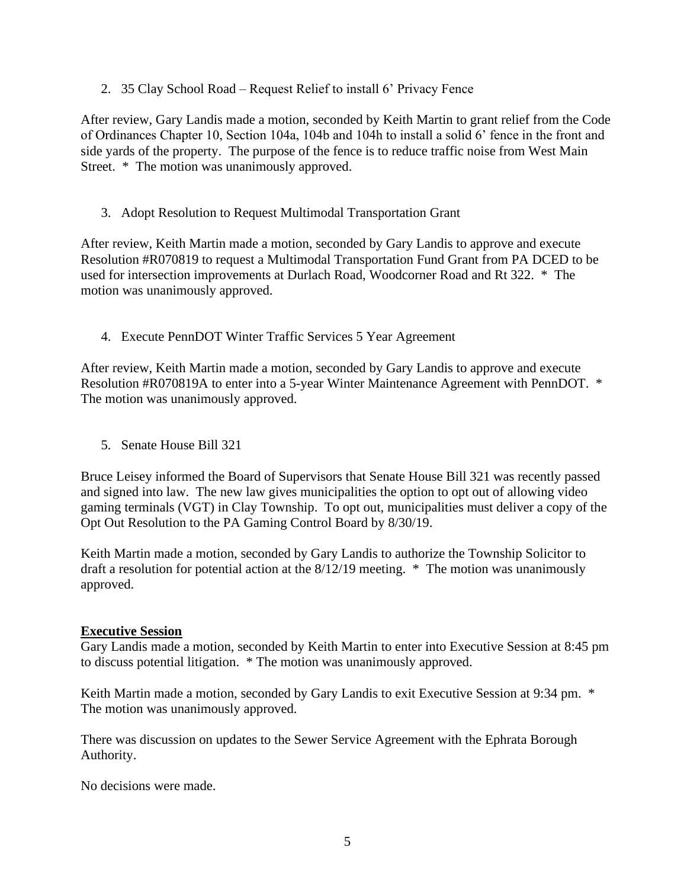2. 35 Clay School Road – Request Relief to install 6' Privacy Fence

After review, Gary Landis made a motion, seconded by Keith Martin to grant relief from the Code of Ordinances Chapter 10, Section 104a, 104b and 104h to install a solid 6' fence in the front and side yards of the property. The purpose of the fence is to reduce traffic noise from West Main Street. \* The motion was unanimously approved.

3. Adopt Resolution to Request Multimodal Transportation Grant

After review, Keith Martin made a motion, seconded by Gary Landis to approve and execute Resolution #R070819 to request a Multimodal Transportation Fund Grant from PA DCED to be used for intersection improvements at Durlach Road, Woodcorner Road and Rt 322. \* The motion was unanimously approved.

4. Execute PennDOT Winter Traffic Services 5 Year Agreement

After review, Keith Martin made a motion, seconded by Gary Landis to approve and execute Resolution #R070819A to enter into a 5-year Winter Maintenance Agreement with PennDOT. \* The motion was unanimously approved.

5. Senate House Bill 321

Bruce Leisey informed the Board of Supervisors that Senate House Bill 321 was recently passed and signed into law. The new law gives municipalities the option to opt out of allowing video gaming terminals (VGT) in Clay Township. To opt out, municipalities must deliver a copy of the Opt Out Resolution to the PA Gaming Control Board by 8/30/19.

Keith Martin made a motion, seconded by Gary Landis to authorize the Township Solicitor to draft a resolution for potential action at the 8/12/19 meeting. \* The motion was unanimously approved.

# **Executive Session**

Gary Landis made a motion, seconded by Keith Martin to enter into Executive Session at 8:45 pm to discuss potential litigation. \* The motion was unanimously approved.

Keith Martin made a motion, seconded by Gary Landis to exit Executive Session at 9:34 pm.  $*$ The motion was unanimously approved.

There was discussion on updates to the Sewer Service Agreement with the Ephrata Borough Authority.

No decisions were made.